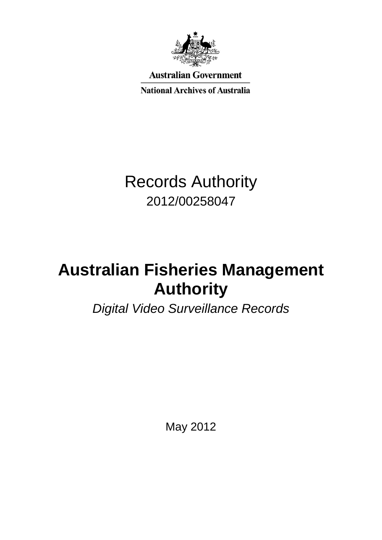

**Australian Government** 

**National Archives of Australia** 

# Records Authority 2012/00258047

# **Australian Fisheries Management Authority**

*Digital Video Surveillance Records* 

May 2012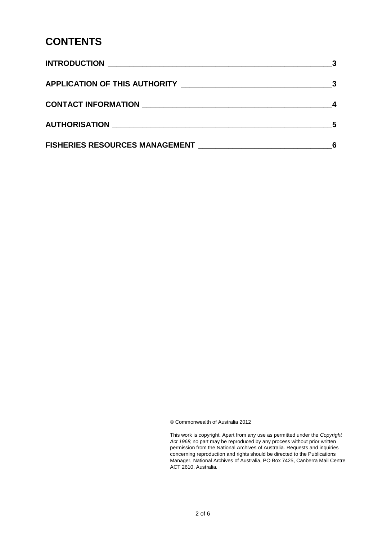### **CONTENTS**

| <b>INTRODUCTION</b>                                             |                         |
|-----------------------------------------------------------------|-------------------------|
| APPLICATION OF THIS AUTHORITY _________________________________ | $\overline{\mathbf{3}}$ |
|                                                                 |                         |
|                                                                 |                         |
| <b>FISHERIES RESOURCES MANAGEMENT</b>                           |                         |

© Commonwealth of Australia 2012

 This work is copyright. Apart from any use as permitted under the *Copyright Act 1968,* no part may be reproduced by any process without prior written permission from the National Archives of Australia. Requests and inquiries concerning reproduction and rights should be directed to the Publications Manager, National Archives of Australia, PO Box 7425, Canberra Mail Centre ACT 2610, Australia.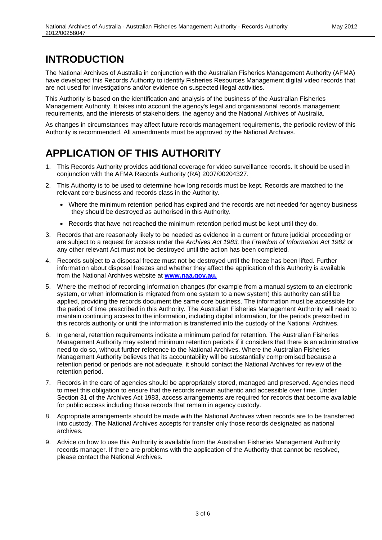# **INTRODUCTION**

The National Archives of Australia in conjunction with the Australian Fisheries Management Authority (AFMA) have developed this Records Authority to identify Fisheries Resources Management digital video records that are not used for investigations and/or evidence on suspected illegal activities.

 This Authority is based on the identification and analysis of the business of the Australian Fisheries Management Authority. It takes into account the agency's legal and organisational records management requirements, and the interests of stakeholders, the agency and the National Archives of Australia.

 Authority is recommended. All amendments must be approved by the National Archives. As changes in circumstances may affect future records management requirements, the periodic review of this

## **APPLICATION OF THIS AUTHORITY**

- conjunction with the AFMA Records Authority (RA) 2007/00204327. 1. This Records Authority provides additional coverage for video surveillance records. It should be used in
- 2. This Authority is to be used to determine how long records must be kept. Records are matched to the relevant core business and records class in the Authority.
	- Where the minimum retention period has expired and the records are not needed for agency business they should be destroyed as authorised in this Authority.
	- Records that have not reached the minimum retention period must be kept until they do.
- 3. Records that are reasonably likely to be needed as evidence in a current or future judicial proceeding or are subject to a request for access under the *Archives Act 1983,* the *Freedom of Information Act 1982* or any other relevant Act must not be destroyed until the action has been completed.
- 4. Records subject to a disposal freeze must not be destroyed until the freeze has been lifted. Further information about disposal freezes and whether they affect the application of this Authority is available from the National Archives website at **[www.naa.gov.au.](http://www.naa.gov.au/)**
- system, or when information is migrated from one system to a new system) this authority can still be this records authority or until the information is transferred into the custody of the National Archives. 5. Where the method of recording information changes (for example from a manual system to an electronic applied, providing the records document the same core business. The information must be accessible for the period of time prescribed in this Authority. The Australian Fisheries Management Authority will need to maintain continuing access to the information, including digital information, for the periods prescribed in
- Management Authority may extend minimum retention periods if it considers that there is an administrative Management Authority believes that its accountability will be substantially compromised because a retention period or periods are not adequate, it should contact the National Archives for review of the retention period. 6. In general, retention requirements indicate a minimum period for retention. The Australian Fisheries need to do so, without further reference to the National Archives. Where the Australian Fisheries
- 7. Records in the care of agencies should be appropriately stored, managed and preserved. Agencies need to meet this obligation to ensure that the records remain authentic and accessible over time. Under Section 31 of the Archives Act 1983, access arrangements are required for records that become available for public access including those records that remain in agency custody.
- 8. Appropriate arrangements should be made with the National Archives when records are to be transferred into custody. The National Archives accepts for transfer only those records designated as national archives.
- 9. Advice on how to use this Authority is available from the Australian Fisheries Management Authority records manager. If there are problems with the application of the Authority that cannot be resolved, please contact the National Archives.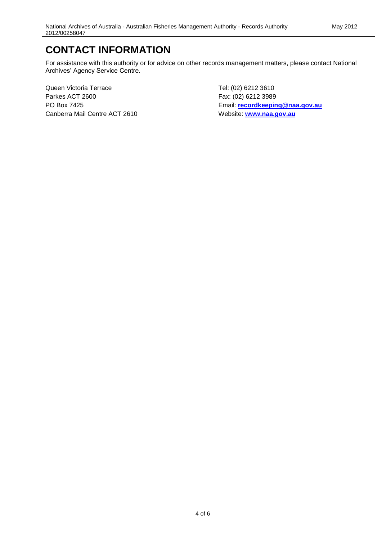## **CONTACT INFORMATION**

 Archives' Agency Service Centre. For assistance with this authority or for advice on other records management matters, please contact National

Queen Victoria Terrace Parkes ACT 2600 PO Box 7425 Canberra Mail Centre ACT 2610

 Email: **[recordkeeping@naa.gov.au](mailto:recordkeeping@naa.gov.au)** Tel: (02) 6212 3610 Fax: (02) 6212 3989 Website: **[www.naa.gov.au](http://www.naa.gov.au/)**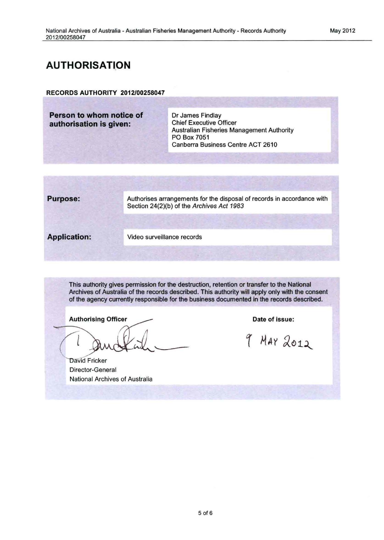#### **AUTHORISATION**

#### RECORDS AUTHORITY 2012/00258047

**Person to whom notice of** *Dr James Findlay***<br>
authorisation is given: Chief Executive Officer** 

**authorisation is given:** Chief Executive Officer<br>Australian Fisheries Management Authority PO Box 7051 Canberra Business Centre ACT 2610

**Purpose: Authorises arrangements for the disposal of records in accordance with** Section 24(2)(b) of the Archives Act 1983

**Application:** Video surveillance records

This authority gives permission for the destruction, retention or transfer to the National Archives of Australia of the records described. This authority will apply only with the consent of the agency currently responsible for the business documented in the records described.

**Authorising Officer** 

David Fricker Director-General National Archives of Australia

Date of issue:

9 MAY 2012